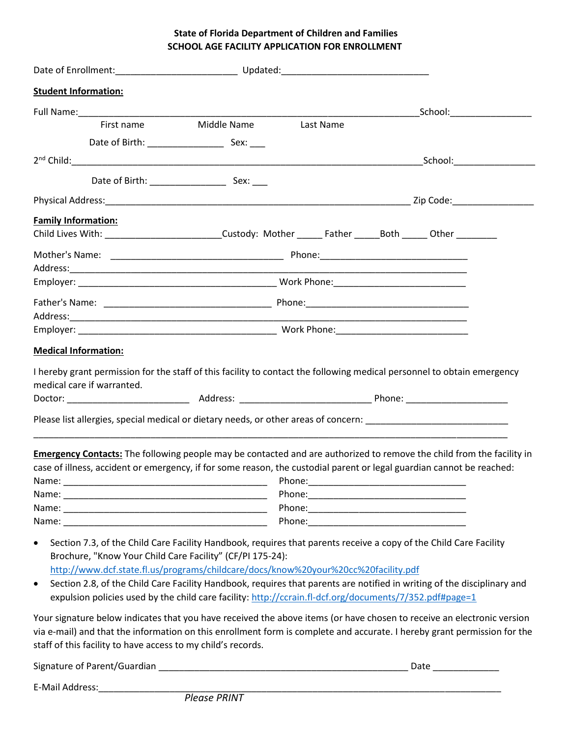## **State of Florida Department of Children and Families SCHOOL AGE FACILITY APPLICATION FOR ENROLLMENT**

| <b>Student Information:</b>                                                                                    |                                  |  |                                                                                                                              |
|----------------------------------------------------------------------------------------------------------------|----------------------------------|--|------------------------------------------------------------------------------------------------------------------------------|
|                                                                                                                |                                  |  | _School:______________________                                                                                               |
|                                                                                                                | First name Middle Name Last Name |  |                                                                                                                              |
|                                                                                                                |                                  |  |                                                                                                                              |
|                                                                                                                |                                  |  | _School:__________________                                                                                                   |
|                                                                                                                |                                  |  |                                                                                                                              |
|                                                                                                                |                                  |  |                                                                                                                              |
| <b>Family Information:</b>                                                                                     |                                  |  |                                                                                                                              |
| Child Lives With: ___________________________Custody: Mother _______ Father _______Both ______ Other _________ |                                  |  |                                                                                                                              |
|                                                                                                                |                                  |  |                                                                                                                              |
|                                                                                                                |                                  |  |                                                                                                                              |
|                                                                                                                |                                  |  |                                                                                                                              |
|                                                                                                                |                                  |  |                                                                                                                              |
|                                                                                                                |                                  |  |                                                                                                                              |
|                                                                                                                |                                  |  |                                                                                                                              |
| <b>Medical Information:</b>                                                                                    |                                  |  |                                                                                                                              |
|                                                                                                                |                                  |  | I hereby grant permission for the staff of this facility to contact the following medical personnel to obtain emergency      |
| medical care if warranted.                                                                                     |                                  |  |                                                                                                                              |
|                                                                                                                |                                  |  |                                                                                                                              |
|                                                                                                                |                                  |  |                                                                                                                              |
|                                                                                                                |                                  |  | Please list allergies, special medical or dietary needs, or other areas of concern: __________________________               |
|                                                                                                                |                                  |  | <b>Emergency Contacts:</b> The following people may be contacted and are authorized to remove the child from the facility in |
|                                                                                                                |                                  |  | case of illness, accident or emergency, if for some reason, the custodial parent or legal guardian cannot be reached:        |
|                                                                                                                |                                  |  |                                                                                                                              |
|                                                                                                                |                                  |  |                                                                                                                              |
|                                                                                                                |                                  |  |                                                                                                                              |
|                                                                                                                |                                  |  |                                                                                                                              |
| $\bullet$                                                                                                      |                                  |  | Section 7.3, of the Child Care Facility Handbook, requires that parents receive a copy of the Child Care Facility            |
| Brochure, "Know Your Child Care Facility" (CF/PI 175-24):                                                      |                                  |  |                                                                                                                              |
| http://www.dcf.state.fl.us/programs/childcare/docs/know%20your%20cc%20facility.pdf                             |                                  |  |                                                                                                                              |
| $\bullet$                                                                                                      |                                  |  | Section 2.8, of the Child Care Facility Handbook, requires that parents are notified in writing of the disciplinary and      |
| expulsion policies used by the child care facility: http://ccrain.fl-dcf.org/documents/7/352.pdf#page=1        |                                  |  |                                                                                                                              |
|                                                                                                                |                                  |  | Your signature below indicates that you have received the above items (or have chosen to receive an electronic version       |
|                                                                                                                |                                  |  | via e-mail) and that the information on this enrollment form is complete and accurate. I hereby grant permission for the     |
| staff of this facility to have access to my child's records.                                                   |                                  |  |                                                                                                                              |

| Signature of Parent/Guardian |  |
|------------------------------|--|
|------------------------------|--|

E-Mail Address: